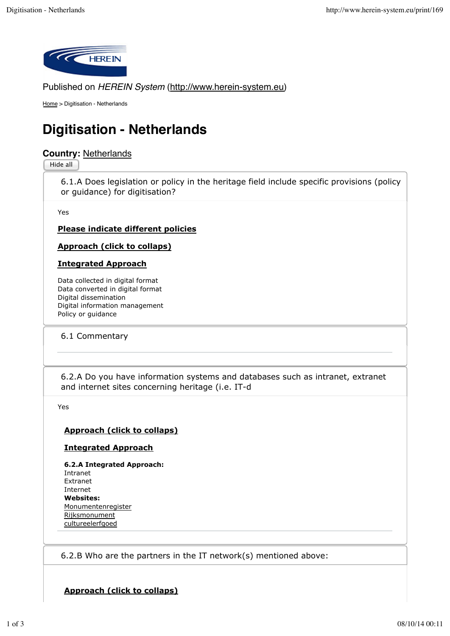

Published on *HEREIN System* (http://www.herein-system.eu)

Home > Digitisation - Netherlands

# **Digitisation - Netherlands**

# **Country:** Netherlands

Hide all

6.1.A Does legislation or policy in the heritage field include specific provisions (policy or guidance) for digitisation?

Yes

#### **Please indicate different policies**

**Approach (click to collaps)**

#### **Integrated Approach**

Data collected in digital format Data converted in digital format Digital dissemination Digital information management Policy or guidance

#### 6.1 Commentary

6.2.A Do you have information systems and databases such as intranet, extranet and internet sites concerning heritage (i.e. IT-d

Yes

#### **Approach (click to collaps)**

#### **Integrated Approach**

**6.2.A Integrated Approach:**  Intranet Extranet Internet **Websites: Monumentenregister** Rijksmonument cultureelerfgoed

6.2.B Who are the partners in the IT network(s) mentioned above:

**Approach (click to collaps)**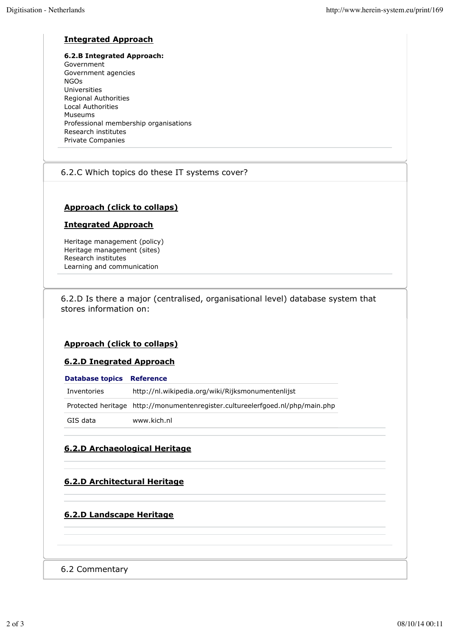### **Integrated Approach**

#### **6.2.B Integrated Approach:**

Government Government agencies NGOs Universities Regional Authorities Local Authorities Museums Professional membership organisations Research institutes Private Companies

# 6.2.C Which topics do these IT systems cover?

# **Approach (click to collaps)**

#### **Integrated Approach**

Heritage management (policy) Heritage management (sites) Research institutes Learning and communication

6.2.D Is there a major (centralised, organisational level) database system that stores information on:

# **Approach (click to collaps)**

#### **6.2.D Inegrated Approach**

|  |  |  | <b>Database topics Reference</b> |
|--|--|--|----------------------------------|
|--|--|--|----------------------------------|

| Inventories | http://nl.wikipedia.org/wiki/Rijksmonumentenlijst                             |
|-------------|-------------------------------------------------------------------------------|
|             | Protected heritage http://monumentenregister.cultureelerfgoed.nl/php/main.php |
| GIS data    | www.kich.nl                                                                   |

# **6.2.D Archaeological Heritage**

# **6.2.D Architectural Heritage**

# **6.2.D Landscape Heritage**

#### 6.2 Commentary